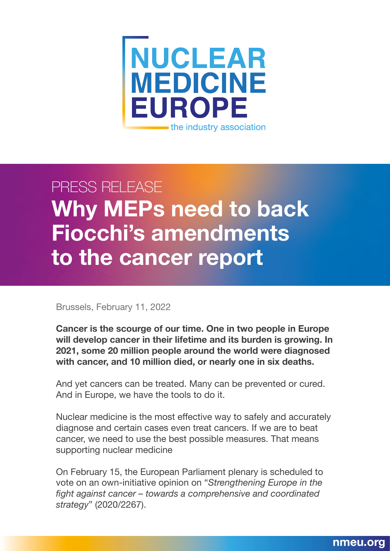

## PRESS RELEASE **Why MEPs need to back Fiocchi's amendments to the cancer report**

Brussels, February 11, 2022

**Cancer is the scourge of our time. One in two people in Europe will develop cancer in their lifetime and its burden is growing. In 2021, some 20 million people around the world were diagnosed with cancer, and 10 million died, or nearly one in six deaths.**

And yet cancers can be treated. Many can be prevented or cured. And in Europe, we have the tools to do it.

Nuclear medicine is the most effective way to safely and accurately diagnose and certain cases even treat cancers. If we are to beat cancer, we need to use the best possible measures. That means supporting nuclear medicine

On February 15, the European Parliament plenary is scheduled to vote on an own-initiative opinion on "*Strengthening Europe in the fight against cancer – towards a comprehensive and coordinated strategy*" (2020/2267).